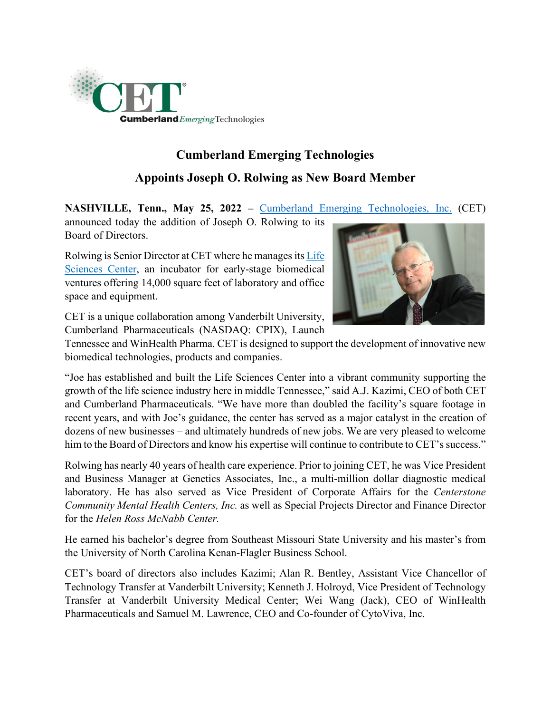

## **Cumberland Emerging Technologies Appoints Joseph O. Rolwing as New Board Member**

**NASHVILLE, Tenn., May 25, 2022 –** [Cumberland Emerging Technologies, Inc.](https://www.cet-fund.com/) (CET)

announced today the addition of Joseph O. Rolwing to its Board of Directors.

Rolwing is Senior Director at CET where he manages its [Life](https://www.cet-fund.com/life-sciences-center/overview/)  [Sciences Center,](https://www.cet-fund.com/life-sciences-center/overview/) an incubator for early-stage biomedical ventures offering 14,000 square feet of laboratory and office space and equipment.



CET is a unique collaboration among Vanderbilt University, Cumberland Pharmaceuticals (NASDAQ: CPIX), Launch

Tennessee and WinHealth Pharma. CET is designed to support the development of innovative new biomedical technologies, products and companies.

"Joe has established and built the Life Sciences Center into a vibrant community supporting the growth of the life science industry here in middle Tennessee," said A.J. Kazimi, CEO of both CET and Cumberland Pharmaceuticals. "We have more than doubled the facility's square footage in recent years, and with Joe's guidance, the center has served as a major catalyst in the creation of dozens of new businesses – and ultimately hundreds of new jobs. We are very pleased to welcome him to the Board of Directors and know his expertise will continue to contribute to CET's success."

Rolwing has nearly 40 years of health care experience. Prior to joining CET, he was Vice President and Business Manager at Genetics Associates, Inc., a multi-million dollar diagnostic medical laboratory. He has also served as Vice President of Corporate Affairs for the *Centerstone Community Mental Health Centers, Inc.* as well as Special Projects Director and Finance Director for the *Helen Ross McNabb Center.*

He earned his bachelor's degree from Southeast Missouri State University and his master's from the University of North Carolina Kenan-Flagler Business School.

CET's board of directors also includes Kazimi; Alan R. Bentley, Assistant Vice Chancellor of Technology Transfer at Vanderbilt University; Kenneth J. Holroyd, Vice President of Technology Transfer at Vanderbilt University Medical Center; Wei Wang (Jack), CEO of WinHealth Pharmaceuticals and Samuel M. Lawrence, CEO and Co-founder of CytoViva, Inc.